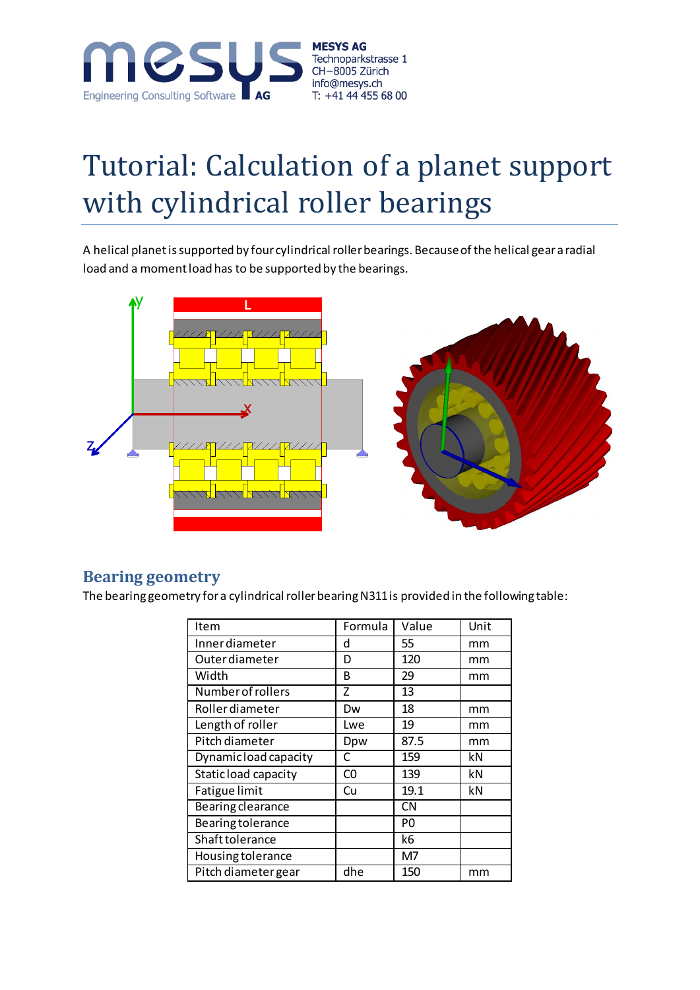

# Tutorial: Calculation of a planet support with cylindrical roller bearings

A helical planet is supported by four cylindrical roller bearings. Because of the helical gear a radial load and a moment load has to be supported by the bearings.



#### **Bearing geometry**

The bearing geometry for a cylindrical roller bearing N311 is provided in the following table:

| Item                     | Formula | Value     | Unit |
|--------------------------|---------|-----------|------|
| Innerdiameter            | d       | 55        | mm   |
| <b>Outer diameter</b>    | D       | 120       | mm   |
| Width                    | B       | 29        | mm   |
| Number of rollers        | 7       | 13        |      |
| <b>Roller</b> diameter   | Dw      | 18        | mm   |
| Length of roller         | Lwe     | 19        | mm   |
| Pitch diameter           | Dpw     | 87.5      | mm   |
| Dynamic load capacity    | C       | 159       | kN   |
| Static load capacity     | C0      | 139       | kN   |
| Fatigue limit            | Cu      | 19.1      | kN   |
| Bearing clearance        |         | <b>CN</b> |      |
| <b>Bearing tolerance</b> |         | P0        |      |
| Shaft tolerance          |         | k6        |      |
| Housing tolerance        |         | M7        |      |
| Pitch diameter gear      | dhe     | 150       | mm   |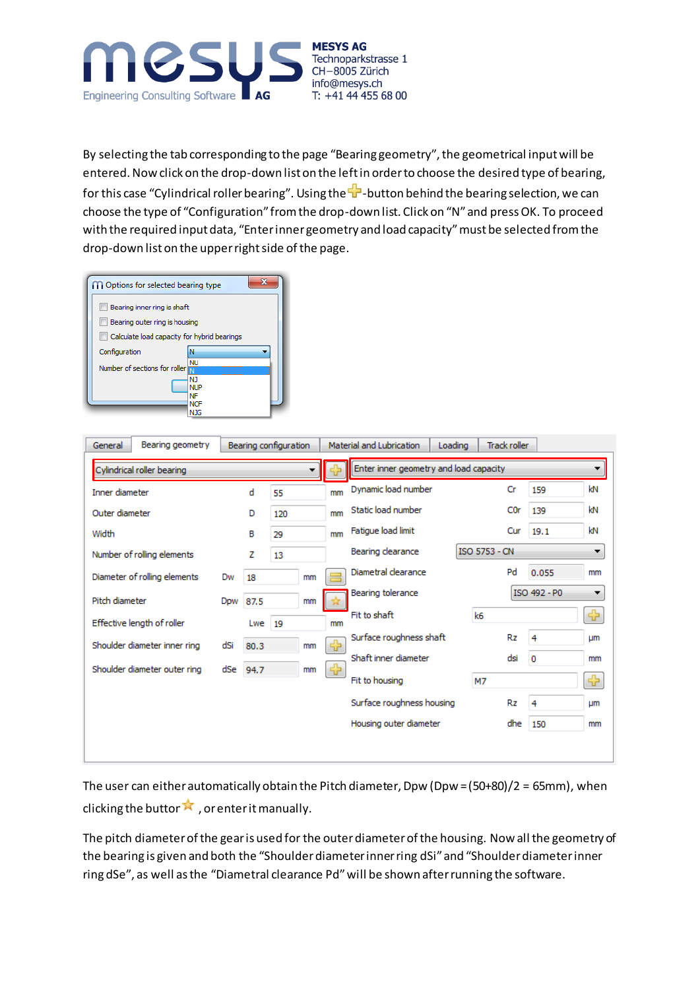

By selecting the tab corresponding to the page "Bearing geometry", the geometrical input will be entered. Now click on the drop-down list on the left in order to choose the desired type of bearing, for this case "Cylindrical roller bearing". Using the  $\frac{1}{T}$ -button behind the bearing selection, we can choose the type of "Configuration" from the drop-down list. Click on "N" and press OK. To proceed with the required input data, "Enter inner geometry and load capacity" must be selected from the drop-down list on the upper right side of the page.

| <b>M</b> Options for selected bearing type  |                   |
|---------------------------------------------|-------------------|
| Bearing inner ring is shaft                 |                   |
| Bearing outer ring is housing               |                   |
| Calculate load capacity for hybrid bearings |                   |
| Configuration                               | N                 |
| Number of sections for roller               | NI J              |
|                                             | N1                |
|                                             | <b>NUP</b><br>NF  |
|                                             | <b>NCF</b><br>NJG |

| General        | Bearing geometry             |     |          | Bearing configuration |    |    | Material and Lubrication               | Loading | <b>Track roller</b>  |                  |              |            |
|----------------|------------------------------|-----|----------|-----------------------|----|----|----------------------------------------|---------|----------------------|------------------|--------------|------------|
|                | Cylindrical roller bearing   |     |          |                       |    |    | Enter inner geometry and load capacity |         |                      |                  |              | ▼          |
| Inner diameter |                              |     | d        | 55                    |    | mm | Dynamic load number                    |         |                      | Cr               | 159          | kN         |
| Outer diameter |                              |     | D        | 120                   |    | mm | Static load number                     |         |                      | C <sub>0</sub> r | 139          | kN         |
| Width          |                              |     | в        | 29                    |    | mm | Fatigue load limit                     |         |                      | Cur              | 19.1         | kN         |
|                | Number of rolling elements   |     | z        | 13                    |    |    | Bearing clearance                      |         | <b>ISO 5753 - CN</b> |                  |              | ▼          |
|                | Diameter of rolling elements | Dw  | 18       |                       | mm |    | Diametral clearance                    |         |                      | Pd               | 0.055        | mm         |
| Pitch diameter |                              |     | Dpw 87.5 |                       | mm |    | Bearing tolerance                      |         |                      |                  | ISO 492 - P0 | ۰          |
|                | Effective length of roller   |     | Lwe      | 19                    |    | mm | Fit to shaft                           |         | k6                   |                  |              | ⊕          |
|                | Shoulder diameter inner ring | dSi | 80.3     |                       | mm | 52 | Surface roughness shaft                |         |                      | Rz               | 4            | <b>LIM</b> |
|                | Shoulder diameter outer ring | dSe | 94.7     |                       | mm | ⊕  | Shaft inner diameter                   |         |                      | dsi              | $\circ$      | mm         |
|                |                              |     |          |                       |    |    | Fit to housing                         |         | M7                   |                  |              | ⊕          |
|                |                              |     |          |                       |    |    | Surface roughness housing              |         |                      | Rz               | 4            | Цm         |
|                |                              |     |          |                       |    |    | Housing outer diameter                 |         |                      | dhe              | 150          | mm         |
|                |                              |     |          |                       |    |    |                                        |         |                      |                  |              |            |
|                |                              |     |          |                       |    |    |                                        |         |                      |                  |              |            |

The user can either automatically obtain the Pitch diameter, Dpw (Dpw = (50+80)/2 = 65mm), when clicking the button  $\lambda$ , or enter it manually.

The pitch diameter of the gear is used for the outer diameter of the housing. Now all the geometry of the bearing is given and both the "Shoulder diameter inner ring dSi" and "Shoulder diameter inner ring dSe", as well as the "Diametral clearance Pd" will be shown after running the software.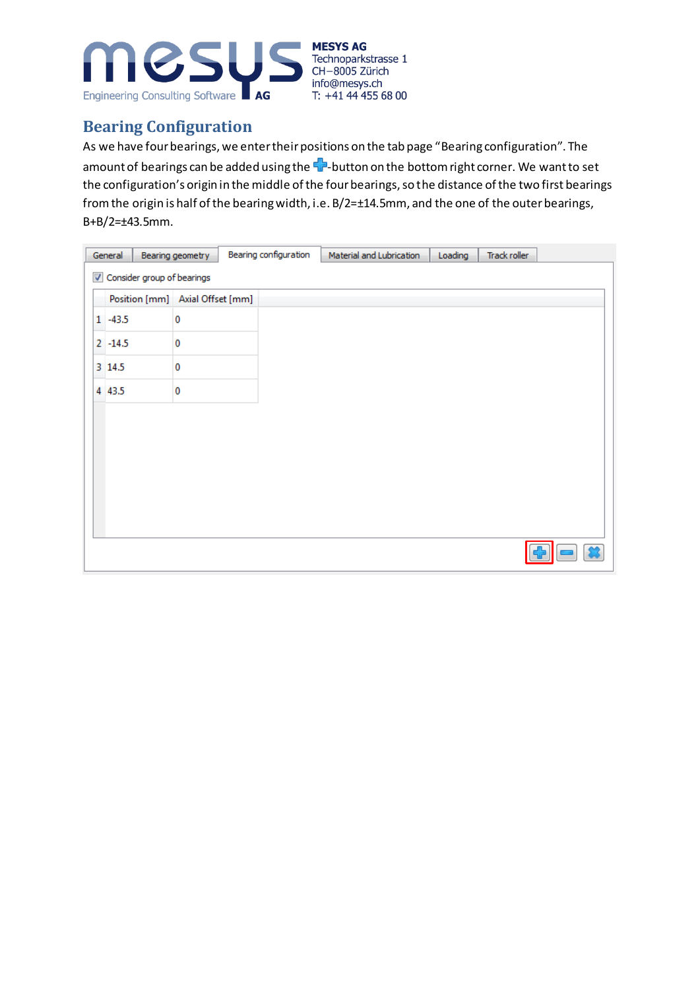

## **Bearing Configuration**

As we have four bearings, we enter their positions on the tab page "Bearing configuration". The amount of bearings can be added using the  $\blacksquare$ -button on the bottom right corner. We want to set the configuration's origin in the middle of the four bearings, so the distance of the two first bearings from the origin is half of the bearing width, i.e. B/2=±14.5mm, and the one of the outer bearings, B+B/2=±43.5mm.

|  | General                         | Bearing geometry | Bearing configuration | Material and Lubrication | Loading | Track roller |  |
|--|---------------------------------|------------------|-----------------------|--------------------------|---------|--------------|--|
|  | Consider group of bearings      |                  |                       |                          |         |              |  |
|  | Position [mm] Axial Offset [mm] |                  |                       |                          |         |              |  |
|  | $1 - 43.5$                      | 0                |                       |                          |         |              |  |
|  | $2 - 14.5$                      | 0                |                       |                          |         |              |  |
|  | 3 14.5                          | 0                |                       |                          |         |              |  |
|  | 4 4 3.5                         | 0                |                       |                          |         |              |  |
|  |                                 |                  |                       |                          |         |              |  |
|  |                                 |                  |                       |                          |         |              |  |
|  |                                 |                  |                       |                          |         |              |  |
|  |                                 |                  |                       |                          |         |              |  |
|  |                                 |                  |                       |                          |         |              |  |
|  |                                 |                  |                       |                          |         |              |  |
|  |                                 |                  |                       |                          |         |              |  |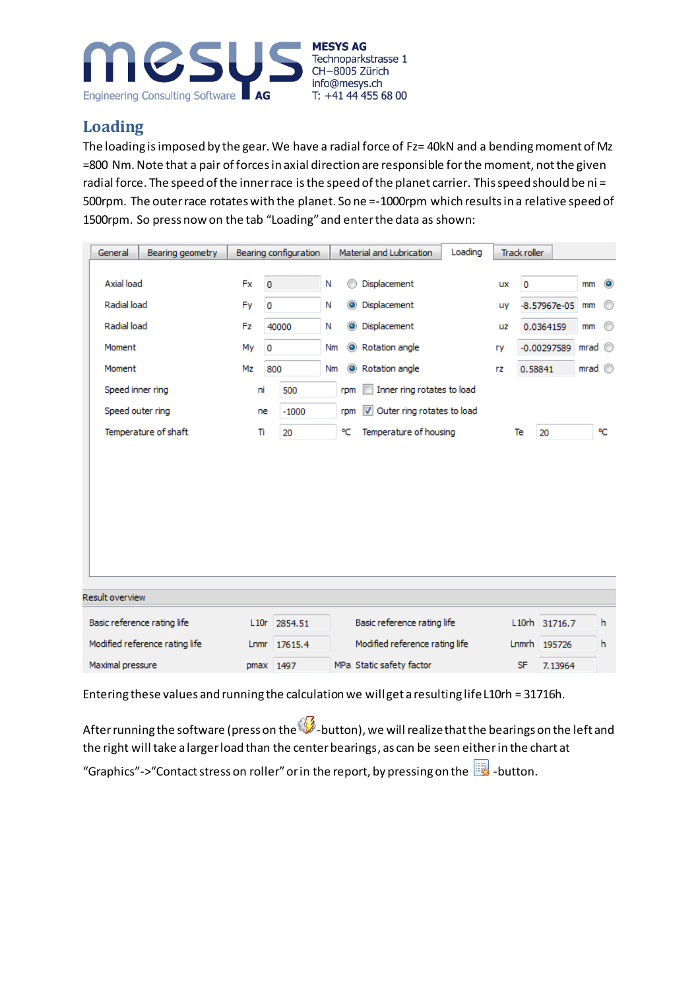

## **Loading**

The loading is imposed by the gear. We have a radial force of Fz= 40kN and a bending moment of Mz =800 Nm. Note that a pair of forces in axial direction are responsible for the moment, not the given radial force. The speed of the inner race is the speed of the planet carrier. This speed should be ni = 500rpm. The outer race rotates with the planet. So ne =-1000rpm which results in a relative speed of 1500rpm. So press now on the tab "Loading" and enter the data as shown:

| General<br>Bearing geometry    |      | Bearing configuration |    |           | Material and Lubrication                              | Loading |           | <b>Track roller</b> |         |                |           |
|--------------------------------|------|-----------------------|----|-----------|-------------------------------------------------------|---------|-----------|---------------------|---------|----------------|-----------|
| Axial load                     | Fx   | $\circ$               | Ν  |           | Displacement                                          |         | <b>UX</b> | $\circ$             |         | mm             | $\bullet$ |
| Radial load                    | Fy   | 0                     | Ν  | $\bullet$ | Displacement                                          |         | uy        | $-8.57967e - 05$    |         | mm             | ⊙         |
| Radial load                    | Fz   | 40000                 | Ν  | $\bullet$ | Displacement                                          |         | uz        | 0.0364159           |         | mm             | ⊙         |
| Moment                         | My   | 0                     | Nm | $\bullet$ | Rotation angle                                        |         | ry        | $-0.00297589$       |         | mrad           |           |
| Moment                         | Mz   | 800                   | Nm | $\bullet$ | Rotation angle                                        |         | rz        | 0.58841             |         | mrad $\degree$ |           |
| Speed inner ring               | ni   | 500                   |    | rpm       | Inner ring rotates to load                            |         |           |                     |         |                |           |
| Speed outer ring               | ne   | $-1000$               |    | rpm       | Outer ring rotates to load<br>$\overline{\mathbf{v}}$ |         |           |                     |         |                |           |
| Temperature of shaft           | Ti   | 20                    |    | ٩C        | Temperature of housing                                |         |           | Te<br>20            |         |                | ٩C        |
|                                |      |                       |    |           |                                                       |         |           |                     |         |                |           |
| <b>Result overview</b>         |      |                       |    |           |                                                       |         |           |                     |         |                |           |
| Basic reference rating life    | L10r | 2854.51               |    |           | Basic reference rating life                           |         |           | L10rh 31716.7       |         |                | h         |
| Modified reference rating life | Lnmr | 17615.4               |    |           | Modified reference rating life                        |         |           | Lnmrh 195726        |         |                | h         |
| Maximal pressure               | pmax | 1497                  |    |           | MPa Static safety factor                              |         |           | <b>SF</b>           | 7.13964 |                |           |

Entering these values and running the calculation we will get a resulting life L10rh = 31716h.

After running the software (press on the  $\mathbb{S}^3$ -button), we will realize that the bearings on the left and the right will take a larger load than the center bearings, as can be seen either in the chart at

"Graphics"->"Contact stress on roller" or in the report, by pressing on the  $\Box$  -button.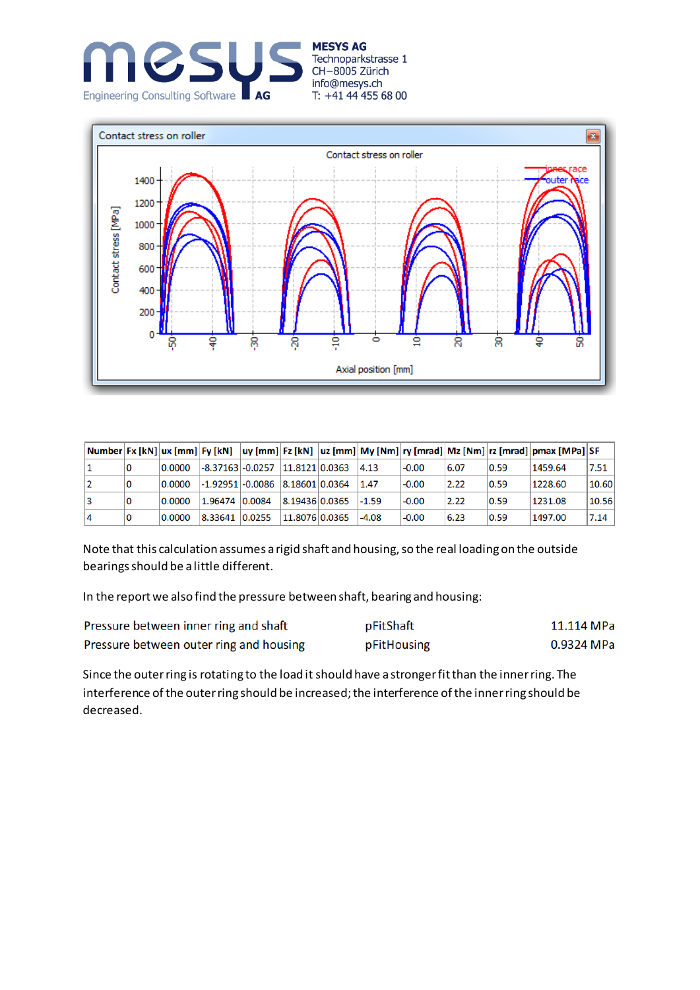





|   |   |        |                                         |                |         |         |      |      | Number Ex [kN] ux [mm] Ey [kN]  uy [mm] Ez [kN]  uz [mm] My [Nm] ry [mrad] Mz [Nm] rz [mrad] pmax [MPa] SF |       |
|---|---|--------|-----------------------------------------|----------------|---------|---------|------|------|------------------------------------------------------------------------------------------------------------|-------|
|   | 0 | 0.0000 | $-8.37163$ $-0.0257$ $11.8121$ $0.0363$ |                | 4.13    | $-0.00$ | 6.07 | 0.59 | 1459.64                                                                                                    | 7.51  |
|   | 0 | 0.0000 | $-1.92951$ $-0.0086$ $8.18601$ $0.0364$ |                | 1.47    | $-0.00$ | 2.22 | 0.59 | 1228.60                                                                                                    | 10.60 |
|   | 0 | 0.0000 | 1.96474 0.0084                          | 8.19436 0.0365 | $-1.59$ | $-0.00$ | 2.22 | 0.59 | 1231.08                                                                                                    | 10.56 |
| 4 | 0 | 0.0000 | 8.33641 0.0255                          | 11.8076 0.0365 | $-4.08$ | $-0.00$ | 6.23 | 0.59 | 1497.00                                                                                                    | 7.14  |

Note that this calculation assumes a rigid shaft and housing, so the real loading on the outside bearings should be a little different.

In the report we also find the pressure between shaft, bearing and housing:

| Pressure between inner ring and shaft   | pFitShaft   | 11.114 MPa |
|-----------------------------------------|-------------|------------|
| Pressure between outer ring and housing | pFitHousing | 0.9324 MPa |

Since the outer ring is rotating to the load it should have a stronger fit than the inner ring. The interference of the outer ring should be increased; the interference of the inner ring should be decreased.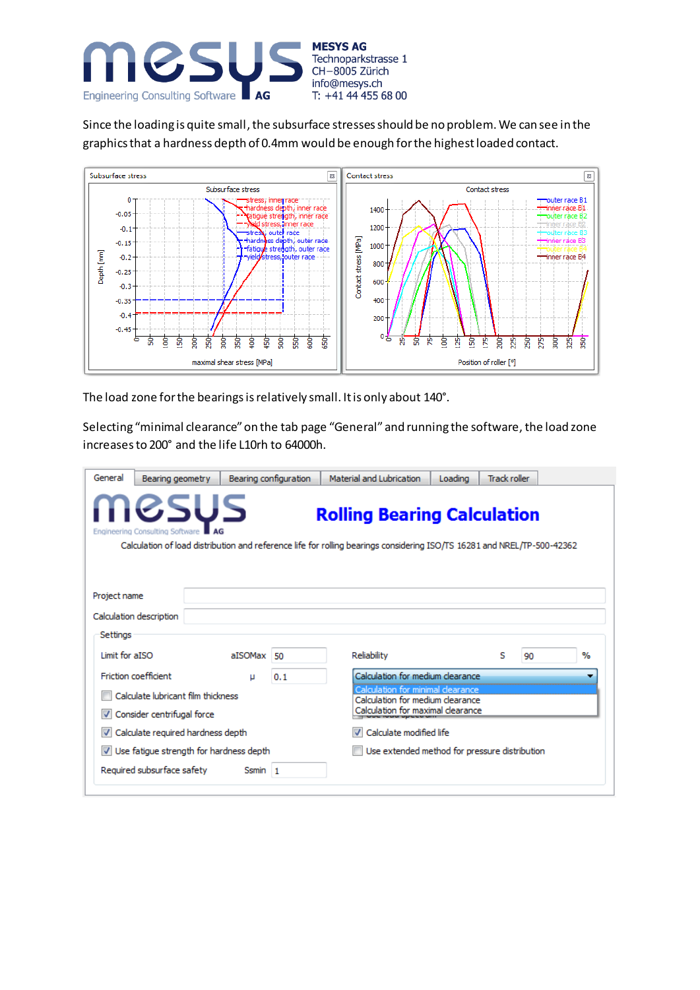

Since the loading is quite small, the subsurface stresses should be no problem. We can see in the graphics that a hardness depth of 0.4mm would be enough for the highest loaded contact.



The load zone for the bearings is relatively small. It is only about 140°.

Selecting "minimal clearance" on the tab page "General" and running the software, the load zone increasesto 200° and the life L10rh to 64000h.

| General        | Bearing geometry                                                 |         | Bearing configuration | Material and Lubrication                                                                                                                                      | Loading | <b>Track roller</b> |    |      |
|----------------|------------------------------------------------------------------|---------|-----------------------|---------------------------------------------------------------------------------------------------------------------------------------------------------------|---------|---------------------|----|------|
|                | MGSUS<br>Engineering Consulting Software                         |         |                       | <b>Rolling Bearing Calculation</b><br>Calculation of load distribution and reference life for rolling bearings considering ISO/TS 16281 and NREL/TP-500-42362 |         |                     |    |      |
| Project name   | Calculation description                                          |         |                       |                                                                                                                                                               |         |                     |    |      |
| Settings       |                                                                  |         |                       |                                                                                                                                                               |         |                     |    |      |
| Limit for aISO |                                                                  | aISOMax | 50                    | Reliability                                                                                                                                                   |         | s                   | 90 | $\%$ |
|                | <b>Friction coefficient</b>                                      | μ       | 0.1                   | Calculation for medium clearance.                                                                                                                             |         |                     |    |      |
|                | Calculate lubricant film thickness<br>Consider centrifugal force |         |                       | Calculation for minimal clearance<br>Calculation for medium clearance<br>Calculation for maximal clearance                                                    |         |                     |    |      |
|                | Calculate required hardness depth                                |         |                       | Calculate modified life                                                                                                                                       |         |                     |    |      |
|                |                                                                  |         |                       |                                                                                                                                                               |         |                     |    |      |
|                | Use fatigue strength for hardness depth                          |         |                       | Use extended method for pressure distribution                                                                                                                 |         |                     |    |      |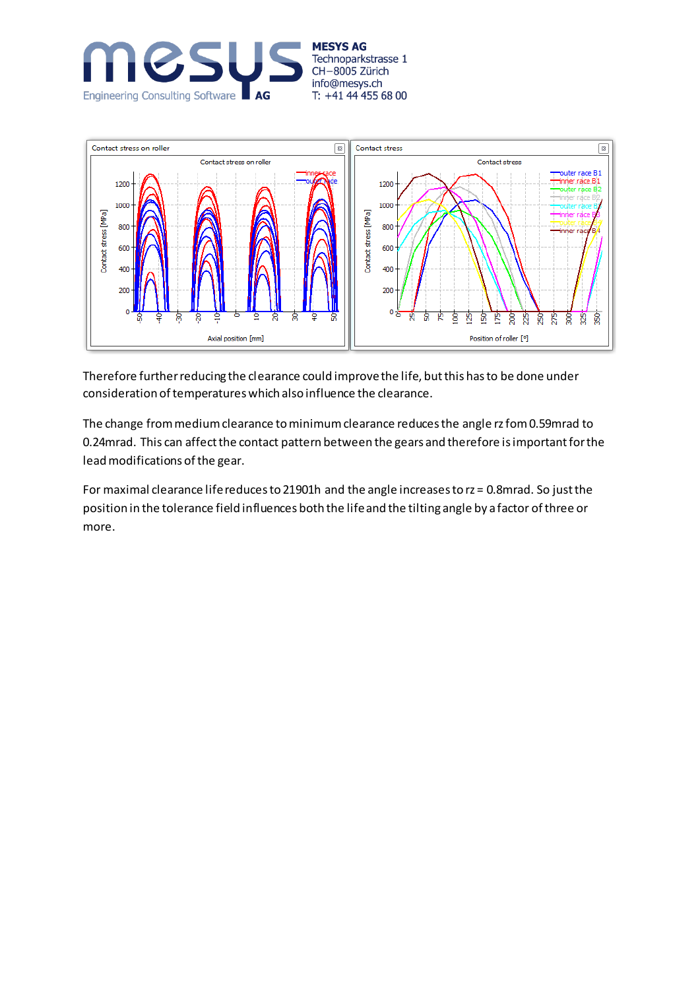



Therefore further reducing the clearance could improve the life, but this has to be done under consideration of temperatures which also influence the clearance.

The change from medium clearance to minimum clearance reduces the angle rz fom 0.59mrad to 0.24mrad. This can affect the contact pattern between the gears and therefore is important for the lead modifications of the gear.

For maximal clearance life reduces to 21901h and the angle increases to rz = 0.8mrad. So just the position in the tolerance field influences both the life and the tilting angle by a factor of three or more.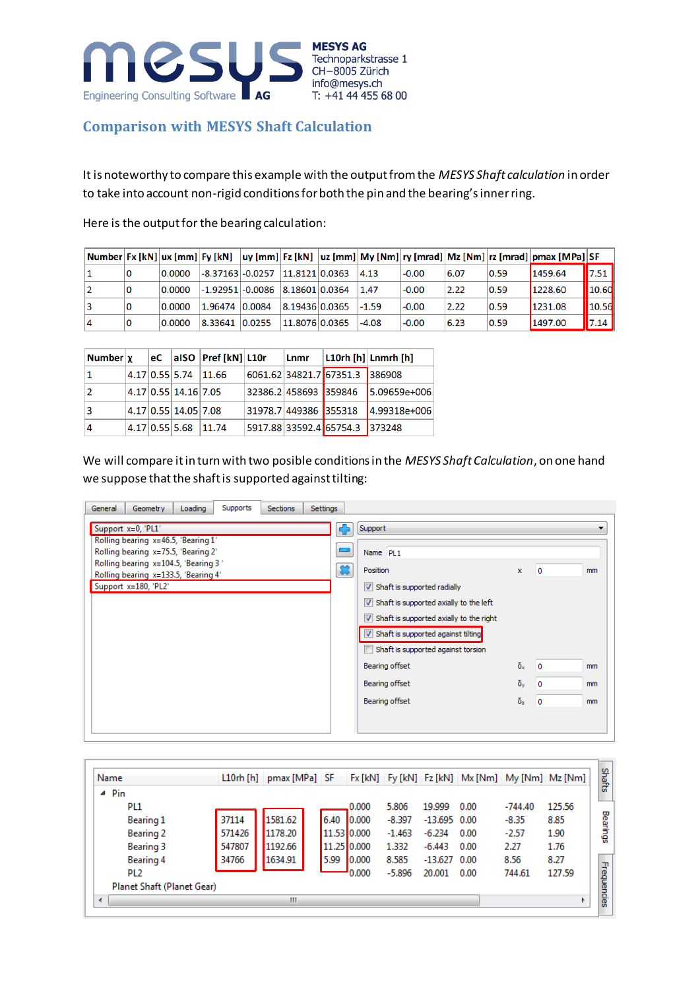

#### **Comparison with MESYS Shaft Calculation**

It is noteworthy to compare this example with the output from the *MESYS Shaft calculation* in order to take into account non-rigid conditions for both the pin and the bearing's inner ring.

Here is the output for the bearing calculation:

|   |    |        |                                       |                |         |         |      |      | Number Fx [kN] ux [mm] Fy [kN]  uy [mm] Fz [kN]  uz [mm] My [Nm] ry [mrad] Mz [Nm] rz [mrad] pmax [MPa] SF |                     |
|---|----|--------|---------------------------------------|----------------|---------|---------|------|------|------------------------------------------------------------------------------------------------------------|---------------------|
|   | 0  | 0.0000 | $-8.37163$ $-0.0257$                  | 11.8121 0.0363 | 4.13    | $-0.00$ | 6.07 | 0.59 | 1459.64                                                                                                    | $\blacksquare$ 7.51 |
|   | 10 | 0.0000 | $-1.92951$ $-0.0086$ $8.18601$ 0.0364 |                | 1.47    | $-0.00$ | 2.22 | 0.59 | 1228.60                                                                                                    | 10.60               |
|   | 10 | 0.0000 | 1.96474 0.0084                        | 8.19436 0.0365 | $-1.59$ | $-0.00$ | 2.22 | 0.59 | 1231.08                                                                                                    | 10.56               |
| 4 | 0  | 0.0000 | 8.33641 0.0255                        | 11.8076 0.0365 | $-4.08$ | $-0.00$ | 6.23 | 0.59 | 1497.00                                                                                                    | 7.14                |

| Number   x |  |                      | $ eC $ also $ Pref[kN] $ L10r | Lnmr                  |                                | $ $ L10rh $ $ h $ $ Lnmrh $ $ h $ $ |
|------------|--|----------------------|-------------------------------|-----------------------|--------------------------------|-------------------------------------|
|            |  |                      | 4.17 0.55 5.74 11.66          |                       | 6061.62 34821.7 67351.3 386908 |                                     |
|            |  | 4.17 0.55 14.16 7.05 |                               | 32386.2 458693 359846 |                                | 5.09659e+006                        |
| 3          |  | 4.17 0.55 14.05 7.08 |                               | 31978.7 449386 355318 |                                | $4.99318e+006$                      |
| 4          |  |                      | 4.17 0.55 5.68 11.74          |                       | 5917.88 33592.4 65754.3 373248 |                                     |

We will compare it in turn with two posible conditions in the *MESYS Shaft Calculation*, on one hand we suppose that the shaft is supported against tilting:

| Loading<br>Supports<br>Geometry<br><b>Settings</b><br>General<br><b>Sections</b>                                                                                                                         |         |                                                                                                                                                                                                                                                                            |                  |                          |         |
|----------------------------------------------------------------------------------------------------------------------------------------------------------------------------------------------------------|---------|----------------------------------------------------------------------------------------------------------------------------------------------------------------------------------------------------------------------------------------------------------------------------|------------------|--------------------------|---------|
| Support x=0, 'PL1'<br>Rolling bearing x=46.5, 'Bearing 1'<br>Rolling bearing x=75.5, 'Bearing 2'<br>Rolling bearing x=104.5, 'Bearing 3"<br>Rolling bearing x=133.5, 'Bearing 4'<br>Support x=180, 'PL2' | ÷<br>रू | Support<br>Name PL1<br>Position<br>$\triangledown$ Shaft is supported radially<br>$\nabla$ Shaft is supported axially to the left<br>$\triangledown$ Shaft is supported axially to the right<br>V Shaft is supported against tilting<br>Shaft is supported against torsion | $\mathbf{x}$     | ١o                       | ▼<br>mm |
|                                                                                                                                                                                                          |         | Bearing offset                                                                                                                                                                                                                                                             | $\delta_{\rm x}$ | $\overline{\phantom{0}}$ | mm      |
|                                                                                                                                                                                                          |         | Bearing offset                                                                                                                                                                                                                                                             | $\delta_{\rm v}$ | 0                        | mm      |
|                                                                                                                                                                                                          |         | Bearing offset                                                                                                                                                                                                                                                             | $\delta_z$       | 0                        | mm      |
|                                                                                                                                                                                                          |         |                                                                                                                                                                                                                                                                            |                  |                          |         |

| Name                       |        | $L10rh$ [h] $pmax$ [MPa] SF |             |       |          |                | Fx [kN] Fy [kN] Fz [kN] Mx [Nm] My [Nm] Mz [Nm] |           |        |
|----------------------------|--------|-----------------------------|-------------|-------|----------|----------------|-------------------------------------------------|-----------|--------|
| $\triangle$ Pin            |        |                             |             |       |          |                |                                                 |           |        |
| PL1                        |        |                             |             | 0.000 | 5.806    | 19,999         | 0.00                                            | $-744.40$ | 125.56 |
| Bearing 1                  | 37114  | 1581.62                     | 6.40        | 0.000 | $-8.397$ | $-13.695$ 0.00 |                                                 | $-8.35$   | 8.85   |
| Bearing 2                  | 571426 | 1178.20                     | 11.53 0.000 |       | $-1.463$ | $-6.234$       | 0.00                                            | $-2.57$   | 1.90   |
| Bearing 3                  | 547807 | 1192.66                     | 11.25 0.000 |       | 1.332    | $-6.443$       | 0.00                                            | 2.27      | 1.76   |
| Bearing 4                  | 34766  | 1634.91                     | 5.99        | 0.000 | 8.585    | $-13.627$ 0.00 |                                                 | 8.56      | 8.27   |
| PL <sub>2</sub>            |        |                             |             | 0.000 | $-5.896$ | 20.001         | 0.00                                            | 744.61    | 127.59 |
| Planet Shaft (Planet Gear) |        |                             |             |       |          |                |                                                 |           |        |
| $\blacktriangleleft$       |        | ш                           |             |       |          |                |                                                 |           |        |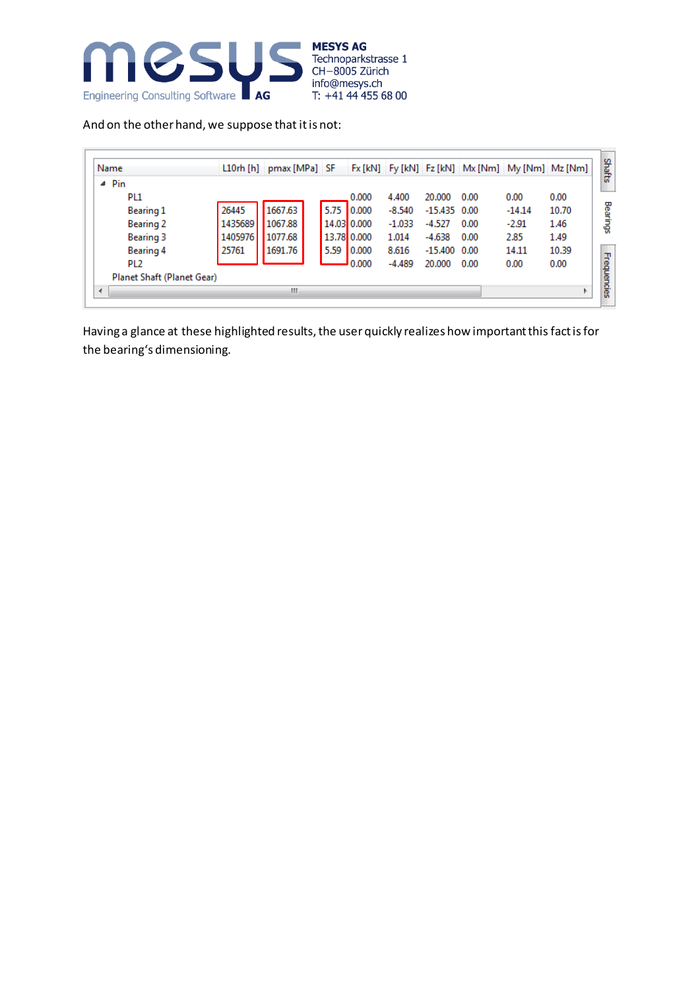

And on the other hand, we suppose that it is not:

| Name                       |         | L10rh [h] pmax [MPa] SF |      |             |          |                |      | Fx [kN] Fy [kN] Fz [kN] Mx [Nm] My [Nm] Mz [Nm] |       |
|----------------------------|---------|-------------------------|------|-------------|----------|----------------|------|-------------------------------------------------|-------|
| $\triangle$ Pin            |         |                         |      |             |          |                |      |                                                 |       |
| PL <sub>1</sub>            |         |                         |      | 0.000       | 4.400    | 20,000         | 0.00 | 0.00                                            | 0.00  |
| Bearing 1                  | 26445   | 1667.63                 | 5.75 | 0.000       | $-8.540$ | $-15.435$ 0.00 |      | $-14.14$                                        | 10.70 |
| <b>Bearing 2</b>           | 1435689 | 1067.88                 |      | 14.03 0.000 | $-1.033$ | $-4.527$       | 0.00 | $-2.91$                                         | 1.46  |
| Bearing 3                  | 1405976 | 1077.68                 |      | 13.78 0.000 | 1.014    | $-4.638$       | 0.00 | 2.85                                            | 1.49  |
| Bearing 4                  | 25761   | 1691.76                 | 5.59 | 0.000       | 8.616    | $-15,400$ 0.00 |      | 14.11                                           | 10.39 |
| PL <sub>2</sub>            |         |                         |      | 0.000       | $-4.489$ | 20,000         | 0.00 | 0.00                                            | 0.00  |
| Planet Shaft (Planet Gear) |         |                         |      |             |          |                |      |                                                 |       |
| ∢                          |         | Ш                       |      |             |          |                |      |                                                 |       |

Having a glance at these highlighted results, the user quickly realizes how important this fact is for the bearing's dimensioning.